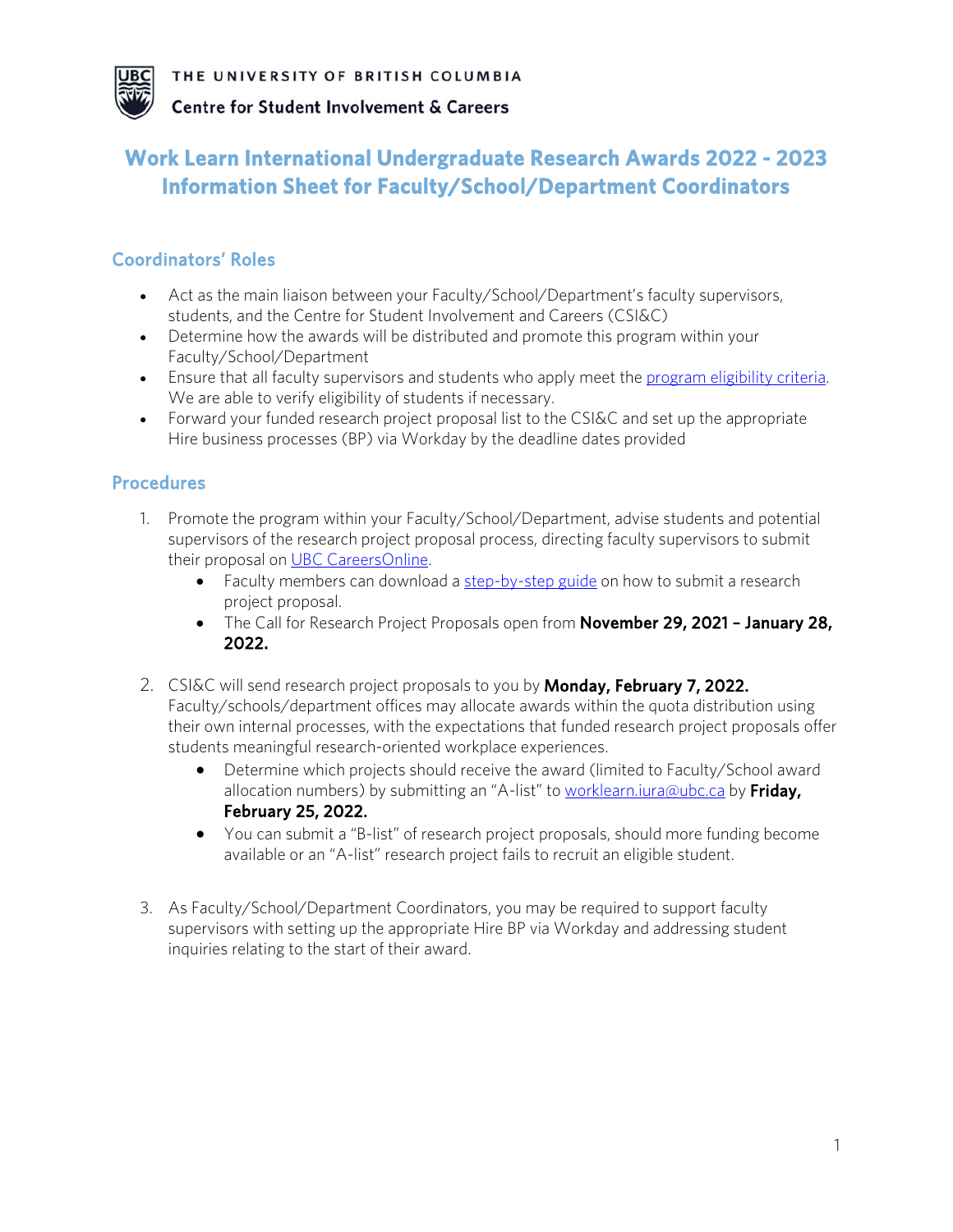

**Centre for Student Involvement & Careers** 

# **Work Learn International Undergraduate Research Awards 2022 - 2023 Information Sheet for Faculty/School/Department Coordinators**

#### Coordinators' Roles

- Act as the main liaison between your Faculty/School/Department's faculty supervisors, students, and the Centre for Student Involvement and Careers (CSI&C)
- Determine how the awards will be distributed and promote this program within your Faculty/School/Department
- Ensure that all faculty supervisors and students who apply meet the [program eligibility criteria.](https://students.ubc.ca/career/campus-experiences/undergraduate-research/work-learn-international-undergraduate-research-awards) We are able to verify eligibility of students if necessary.
- Forward your funded research project proposal list to the CSI&C and set up the appropriate Hire business processes (BP) via Workday by the deadline dates provided

#### **Procedures**

- 1. Promote the program within your Faculty/School/Department, advise students and potential supervisors of the research project proposal process, directing faculty supervisors to submit their proposal on [UBC CareersOnline.](https://ubc-csm.symplicity.com/employers/index.php/pid319602?signin_tab=0)
	- Faculty members can download a [step-by-step guide](https://facultystaff.students.ubc.ca/sites/facultystaff.students.ubc.ca/files/WLIURA%202022%20Proposal%20Submission%20Guide.pdf) on how to submit a research project proposal.
	- The Call for Research Project Proposals open from November 29, 2021 January 28, 2022.
- 2. CSI&C will send research project proposals to you by **Monday, February 7, 2022.** Faculty/schools/department offices may allocate awards within the quota distribution using their own internal processes, with the expectations that funded research project proposals offer students meaningful research-oriented workplace experiences.
	- Determine which projects should receive the award (limited to Faculty/School award allocation numbers) by submitting an "A-list" to worklearn.jura@ubc.ca by Friday, February 25, 2022.
	- You can submit a "B-list" of research project proposals, should more funding become available or an "A-list" research project fails to recruit an eligible student.
- 3. As Faculty/School/Department Coordinators, you may be required to support faculty supervisors with setting up the appropriate Hire BP via Workday and addressing student inquiries relating to the start of their award.